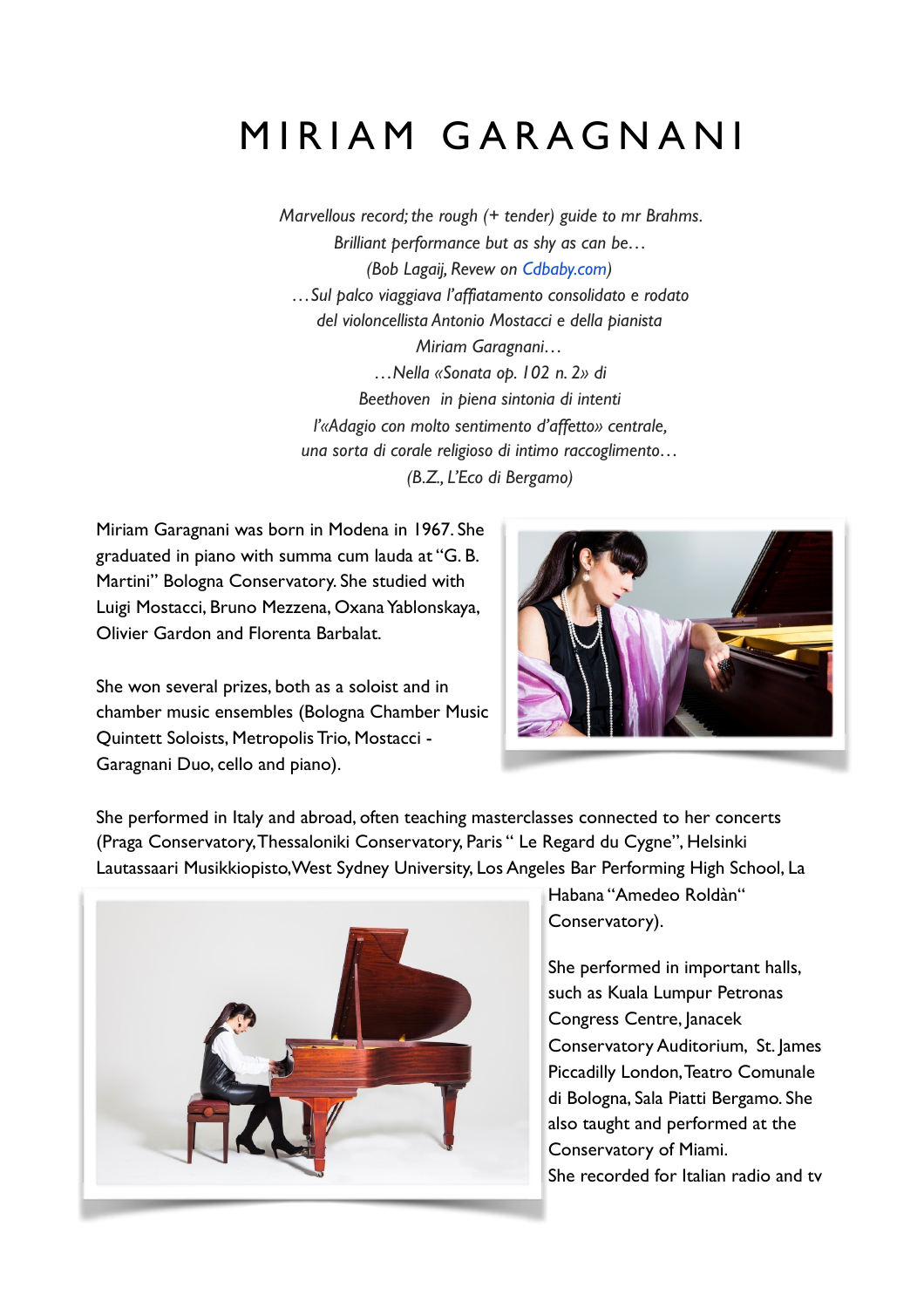## MIRIAM GARAGNANI

*Marvellous record; the rough (+ tender) guide to mr Brahms. Brilliant performance but as shy as can be… (Bob Lagaij, Revew on [Cdbaby.com\)](http://cdbaby.com/) …Sul palco viaggiava l'affiatamento consolidato e rodato del violoncellista Antonio Mostacci e della pianista Miriam Garagnani… …Nella «Sonata op. 102 n. 2» di Beethoven in piena sintonia di intenti l'«Adagio con molto sentimento d'affetto» centrale, una sorta di corale religioso di intimo raccoglimento… (B.Z., L'Eco di Bergamo)*

Miriam Garagnani was born in Modena in 1967. She graduated in piano with summa cum lauda at "G. B. Martini" Bologna Conservatory. She studied with Luigi Mostacci, Bruno Mezzena, Oxana Yablonskaya, Olivier Gardon and Florenta Barbalat.

She won several prizes, both as a soloist and in chamber music ensembles (Bologna Chamber Music Quintett Soloists, Metropolis Trio, Mostacci - Garagnani Duo, cello and piano).



She performed in Italy and abroad, often teaching masterclasses connected to her concerts (Praga Conservatory, Thessaloniki Conservatory, Paris " Le Regard du Cygne", Helsinki Lautassaari Musikkiopisto,West Sydney University, Los Angeles Bar Performing High School, La



Habana "Amedeo Roldàn" Conservatory).

She performed in important halls, such as Kuala Lumpur Petronas Congress Centre, Janacek Conservatory Auditorium, St. James Piccadilly London, Teatro Comunale di Bologna, Sala Piatti Bergamo. She also taught and performed at the Conservatory of Miami. She recorded for Italian radio and tv